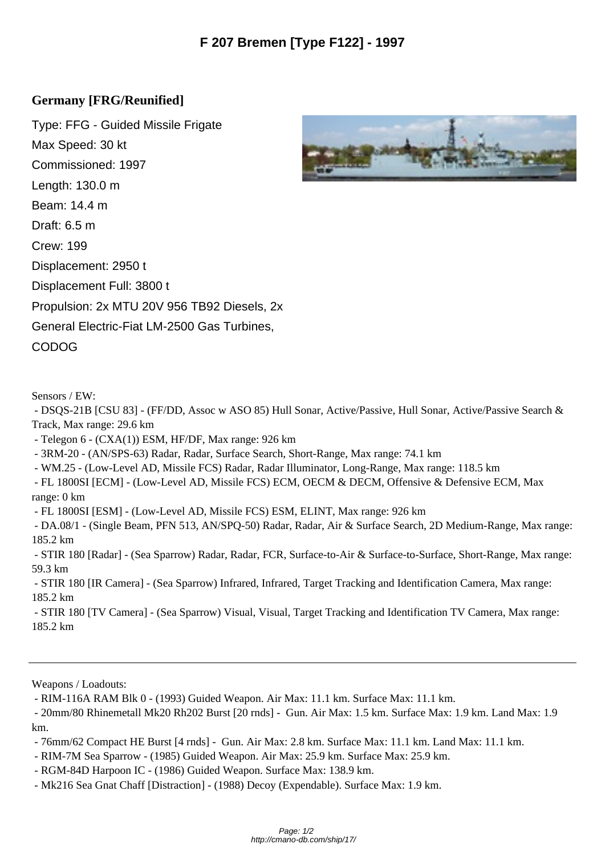## **Germany [FRG/Reunified]**

Type: FFG - Guided Missile Frigate Max Speed: 30 kt Commissioned: 1997 Length: 130.0 m Beam: 14.4 m Draft: 6.5 m Crew: 199 Displacement: 2950 t Displacement Full: 3800 t Propulsion: 2x MTU 20V 956 TB92 Diesels, 2x General Electric-Fiat LM-2500 Gas Turbines, CODOG

Sensors / EW:

 - DSQS-21B [CSU 83] - (FF/DD, Assoc w ASO 85) Hull Sonar, Active/Passive, Hull Sonar, Active/Passive Search & Track, Max range: 29.6 km

- Telegon 6 - (CXA(1)) ESM, HF/DF, Max range: 926 km

- 3RM-20 - (AN/SPS-63) Radar, Radar, Surface Search, Short-Range, Max range: 74.1 km

- WM.25 - (Low-Level AD, Missile FCS) Radar, Radar Illuminator, Long-Range, Max range: 118.5 km

 - FL 1800SI [ECM] - (Low-Level AD, Missile FCS) ECM, OECM & DECM, Offensive & Defensive ECM, Max range: 0 km

- FL 1800SI [ESM] - (Low-Level AD, Missile FCS) ESM, ELINT, Max range: 926 km

 - DA.08/1 - (Single Beam, PFN 513, AN/SPQ-50) Radar, Radar, Air & Surface Search, 2D Medium-Range, Max range: 185.2 km

 - STIR 180 [Radar] - (Sea Sparrow) Radar, Radar, FCR, Surface-to-Air & Surface-to-Surface, Short-Range, Max range: 59.3 km

 - STIR 180 [IR Camera] - (Sea Sparrow) Infrared, Infrared, Target Tracking and Identification Camera, Max range: 185.2 km

 - STIR 180 [TV Camera] - (Sea Sparrow) Visual, Visual, Target Tracking and Identification TV Camera, Max range: 185.2 km

Weapons / Loadouts:

- RIM-116A RAM Blk 0 - (1993) Guided Weapon. Air Max: 11.1 km. Surface Max: 11.1 km.

 - 20mm/80 Rhinemetall Mk20 Rh202 Burst [20 rnds] - Gun. Air Max: 1.5 km. Surface Max: 1.9 km. Land Max: 1.9 km.

- 76mm/62 Compact HE Burst [4 rnds] - Gun. Air Max: 2.8 km. Surface Max: 11.1 km. Land Max: 11.1 km.

- RIM-7M Sea Sparrow (1985) Guided Weapon. Air Max: 25.9 km. Surface Max: 25.9 km.
- RGM-84D Harpoon IC (1986) Guided Weapon. Surface Max: 138.9 km.
- Mk216 Sea Gnat Chaff [Distraction] (1988) Decoy (Expendable). Surface Max: 1.9 km.